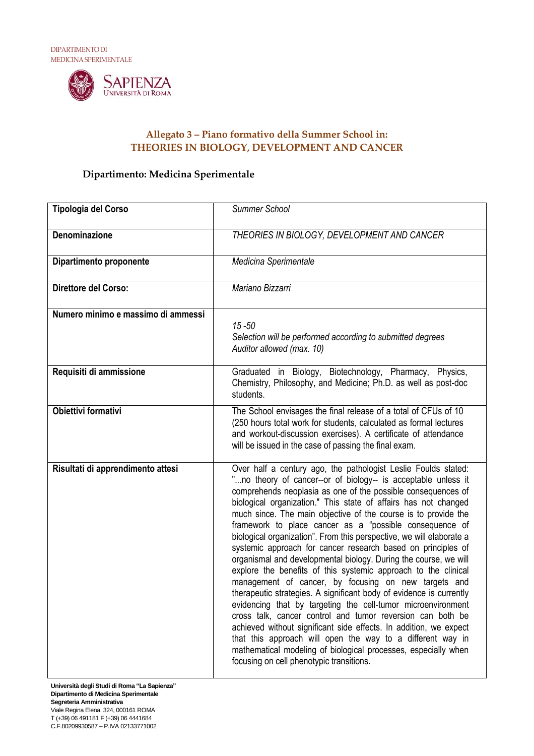

## **Allegato 3 – Piano formativo della Summer School in: THEORIES IN BIOLOGY, DEVELOPMENT AND CANCER**

## **Dipartimento: Medicina Sperimentale**

| Tipologia del Corso                | <b>Summer School</b>                                                                                                                                                                                                                                                                                                                                                                                                                                                                                                                                                                                                                                                                                                                                                                                                                                                                                                                                                                                                                                                                                                                                                                        |
|------------------------------------|---------------------------------------------------------------------------------------------------------------------------------------------------------------------------------------------------------------------------------------------------------------------------------------------------------------------------------------------------------------------------------------------------------------------------------------------------------------------------------------------------------------------------------------------------------------------------------------------------------------------------------------------------------------------------------------------------------------------------------------------------------------------------------------------------------------------------------------------------------------------------------------------------------------------------------------------------------------------------------------------------------------------------------------------------------------------------------------------------------------------------------------------------------------------------------------------|
| <b>Denominazione</b>               | THEORIES IN BIOLOGY, DEVELOPMENT AND CANCER                                                                                                                                                                                                                                                                                                                                                                                                                                                                                                                                                                                                                                                                                                                                                                                                                                                                                                                                                                                                                                                                                                                                                 |
| Dipartimento proponente            | Medicina Sperimentale                                                                                                                                                                                                                                                                                                                                                                                                                                                                                                                                                                                                                                                                                                                                                                                                                                                                                                                                                                                                                                                                                                                                                                       |
| Direttore del Corso:               | Mariano Bizzarri                                                                                                                                                                                                                                                                                                                                                                                                                                                                                                                                                                                                                                                                                                                                                                                                                                                                                                                                                                                                                                                                                                                                                                            |
| Numero minimo e massimo di ammessi | $15 - 50$<br>Selection will be performed according to submitted degrees<br>Auditor allowed (max. 10)                                                                                                                                                                                                                                                                                                                                                                                                                                                                                                                                                                                                                                                                                                                                                                                                                                                                                                                                                                                                                                                                                        |
| Requisiti di ammissione            | Graduated in Biology, Biotechnology, Pharmacy, Physics,<br>Chemistry, Philosophy, and Medicine; Ph.D. as well as post-doc<br>students.                                                                                                                                                                                                                                                                                                                                                                                                                                                                                                                                                                                                                                                                                                                                                                                                                                                                                                                                                                                                                                                      |
| <b>Obiettivi formativi</b>         | The School envisages the final release of a total of CFUs of 10<br>(250 hours total work for students, calculated as formal lectures<br>and workout-discussion exercises). A certificate of attendance<br>will be issued in the case of passing the final exam.                                                                                                                                                                                                                                                                                                                                                                                                                                                                                                                                                                                                                                                                                                                                                                                                                                                                                                                             |
| Risultati di apprendimento attesi  | Over half a century ago, the pathologist Leslie Foulds stated:<br>"no theory of cancer--or of biology-- is acceptable unless it<br>comprehends neoplasia as one of the possible consequences of<br>biological organization." This state of affairs has not changed<br>much since. The main objective of the course is to provide the<br>framework to place cancer as a "possible consequence of<br>biological organization". From this perspective, we will elaborate a<br>systemic approach for cancer research based on principles of<br>organismal and developmental biology. During the course, we will<br>explore the benefits of this systemic approach to the clinical<br>management of cancer, by focusing on new targets and<br>therapeutic strategies. A significant body of evidence is currently<br>evidencing that by targeting the cell-tumor microenvironment<br>cross talk, cancer control and tumor reversion can both be<br>achieved without significant side effects. In addition, we expect<br>that this approach will open the way to a different way in<br>mathematical modeling of biological processes, especially when<br>focusing on cell phenotypic transitions. |

**Università degli Studi di Roma "La Sapienza" Dipartimento di Medicina Sperimentale Segreteria Amministrativa** Viale Regina Elena, 324, 000161 ROMA T (+39) 06 491181 F (+39) 06 4441684 C.F.80209930587 – P.IVA 02133771002

 $\overline{\phantom{a}}$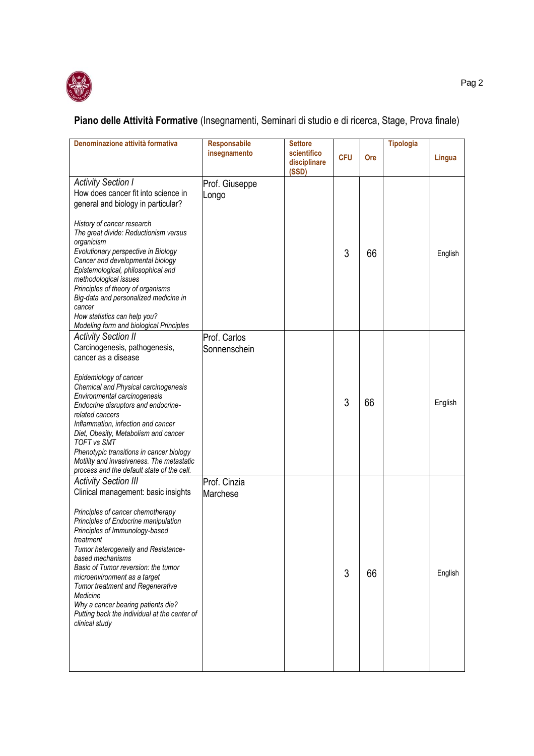

## **Piano delle Attività Formative** (Insegnamenti, Seminari di studio e di ricerca, Stage, Prova finale)

| Denominazione attività formativa                                                                                                                                                                                                                                                                                                                                                                                                                                                                                | <b>Responsabile</b><br>insegnamento | <b>Settore</b><br>scientifico<br>disciplinare<br>(SSD) | <b>CFU</b> | Ore | <b>Tipologia</b> | Lingua  |
|-----------------------------------------------------------------------------------------------------------------------------------------------------------------------------------------------------------------------------------------------------------------------------------------------------------------------------------------------------------------------------------------------------------------------------------------------------------------------------------------------------------------|-------------------------------------|--------------------------------------------------------|------------|-----|------------------|---------|
| <b>Activity Section I</b><br>How does cancer fit into science in<br>general and biology in particular?<br>History of cancer research<br>The great divide: Reductionism versus<br>organicism<br>Evolutionary perspective in Biology<br>Cancer and developmental biology<br>Epistemological, philosophical and<br>methodological issues<br>Principles of theory of organisms<br>Big-data and personalized medicine in<br>cancer<br>How statistics can help you?<br><b>Modeling form and biological Principles</b> | Prof. Giuseppe<br>Longo             |                                                        | 3          | 66  |                  | English |
| <b>Activity Section II</b><br>Carcinogenesis, pathogenesis,<br>cancer as a disease<br>Epidemiology of cancer<br>Chemical and Physical carcinogenesis<br>Environmental carcinogenesis<br>Endocrine disruptors and endocrine-<br>related cancers<br>Inflammation, infection and cancer<br>Diet, Obesity, Metabolism and cancer<br><b>TOFT vs SMT</b><br>Phenotypic transitions in cancer biology<br>Motility and invasiveness. The metastatic<br>process and the default state of the cell.                       | Prof. Carlos<br>Sonnenschein        |                                                        | 3          | 66  |                  | English |
| <b>Activity Section III</b><br>Clinical management: basic insights<br>Principles of cancer chemotherapy<br>Principles of Endocrine manipulation<br>Principles of Immunology-based<br>treatment<br>Tumor heterogeneity and Resistance-<br>based mechanisms<br>Basic of Tumor reversion: the tumor<br>microenvironment as a target<br><b>Tumor treatment and Regenerative</b><br>Medicine<br>Why a cancer bearing patients die?<br>Putting back the individual at the center of<br>clinical study                 | Prof. Cinzia<br><b>Marchese</b>     |                                                        | 3          | 66  |                  | English |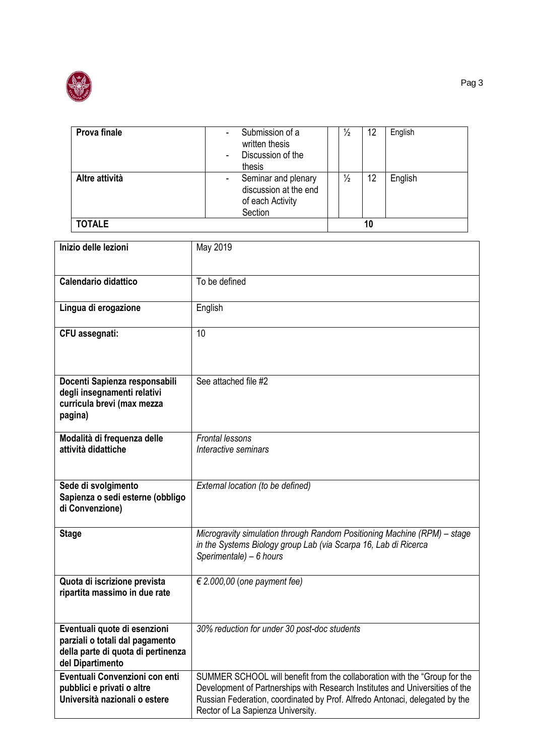

| Prova finale   | Submission of a<br>written thesis<br>Discussion of the<br>thesis            | $\frac{1}{2}$ | 12 | English |
|----------------|-----------------------------------------------------------------------------|---------------|----|---------|
| Altre attività | Seminar and plenary<br>discussion at the end<br>of each Activity<br>Section | $\frac{1}{2}$ | 12 | English |
| <b>TOTALE</b>  |                                                                             |               | 10 |         |

| Inizio delle lezioni                                                                                                      | May 2019                                                                                                                                                                                                                                                                      |
|---------------------------------------------------------------------------------------------------------------------------|-------------------------------------------------------------------------------------------------------------------------------------------------------------------------------------------------------------------------------------------------------------------------------|
| <b>Calendario didattico</b>                                                                                               | To be defined                                                                                                                                                                                                                                                                 |
| Lingua di erogazione                                                                                                      | English                                                                                                                                                                                                                                                                       |
| CFU assegnati:                                                                                                            | 10                                                                                                                                                                                                                                                                            |
| Docenti Sapienza responsabili<br>degli insegnamenti relativi<br>curricula brevi (max mezza<br>pagina)                     | See attached file #2                                                                                                                                                                                                                                                          |
| Modalità di frequenza delle<br>attività didattiche                                                                        | <b>Frontal lessons</b><br>Interactive seminars                                                                                                                                                                                                                                |
| Sede di svolgimento<br>Sapienza o sedi esterne (obbligo<br>di Convenzione)                                                | External location (to be defined)                                                                                                                                                                                                                                             |
| <b>Stage</b>                                                                                                              | Microgravity simulation through Random Positioning Machine (RPM) - stage<br>in the Systems Biology group Lab (via Scarpa 16, Lab di Ricerca<br>Sperimentale) - 6 hours                                                                                                        |
| Quota di iscrizione prevista<br>ripartita massimo in due rate                                                             | € 2.000,00 (one payment fee)                                                                                                                                                                                                                                                  |
| Eventuali quote di esenzioni<br>parziali o totali dal pagamento<br>della parte di quota di pertinenza<br>del Dipartimento | 30% reduction for under 30 post-doc students                                                                                                                                                                                                                                  |
| Eventuali Convenzioni con enti<br>pubblici e privati o altre<br>Università nazionali o estere                             | SUMMER SCHOOL will benefit from the collaboration with the "Group for the<br>Development of Partnerships with Research Institutes and Universities of the<br>Russian Federation, coordinated by Prof. Alfredo Antonaci, delegated by the<br>Rector of La Sapienza University. |